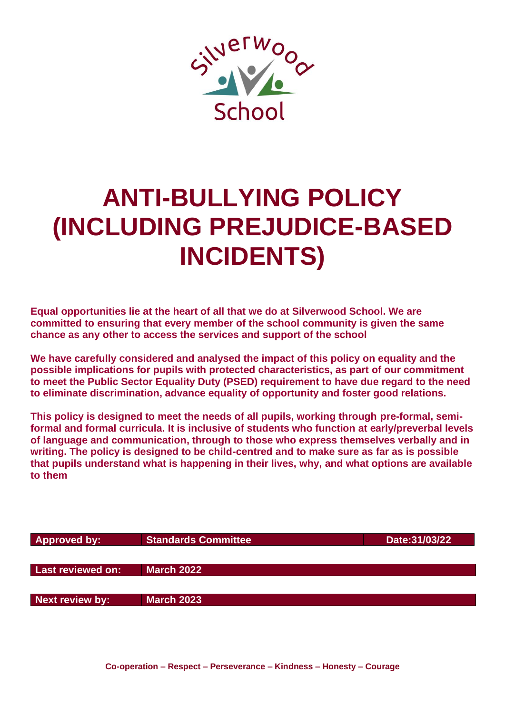

# **ANTI-BULLYING POLICY (INCLUDING PREJUDICE-BASED INCIDENTS)**

**Equal opportunities lie at the heart of all that we do at Silverwood School. We are committed to ensuring that every member of the school community is given the same chance as any other to access the services and support of the school**

**We have carefully considered and analysed the impact of this policy on equality and the possible implications for pupils with protected characteristics, as part of our commitment to meet the Public Sector Equality Duty (PSED) requirement to have due regard to the need to eliminate discrimination, advance equality of opportunity and foster good relations.**

**This policy is designed to meet the needs of all pupils, working through pre-formal, semiformal and formal curricula. It is inclusive of students who function at early/preverbal levels of language and communication, through to those who express themselves verbally and in writing. The policy is designed to be child-centred and to make sure as far as is possible that pupils understand what is happening in their lives, why, and what options are available to them**

| <b>Approved by:</b> | <b>Standards Committee</b> | Date: 31/03/22 |
|---------------------|----------------------------|----------------|
|                     |                            |                |
| Last reviewed on:   | <b>March 2022</b>          |                |
|                     |                            |                |
| Next review by:     | <b>March 2023</b>          |                |
|                     |                            |                |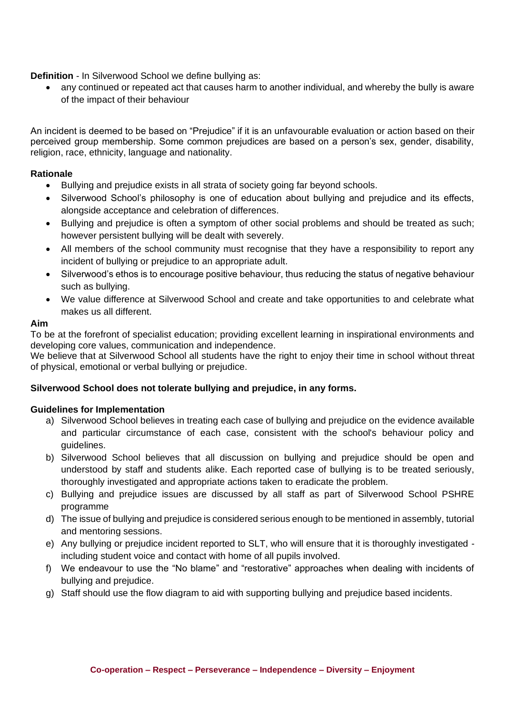**Definition** - In Silverwood School we define bullying as:

• any continued or repeated act that causes harm to another individual, and whereby the bully is aware of the impact of their behaviour

An incident is deemed to be based on "Prejudice" if it is an unfavourable evaluation or action based on their perceived group membership. Some common prejudices are based on a person's sex, gender, disability, religion, race, ethnicity, language and nationality.

# **Rationale**

- Bullying and prejudice exists in all strata of society going far beyond schools.
- Silverwood School's philosophy is one of education about bullying and prejudice and its effects, alongside acceptance and celebration of differences.
- Bullying and prejudice is often a symptom of other social problems and should be treated as such; however persistent bullying will be dealt with severely.
- All members of the school community must recognise that they have a responsibility to report any incident of bullying or prejudice to an appropriate adult.
- Silverwood's ethos is to encourage positive behaviour, thus reducing the status of negative behaviour such as bullying.
- We value difference at Silverwood School and create and take opportunities to and celebrate what makes us all different.

## **Aim**

To be at the forefront of specialist education; providing excellent learning in inspirational environments and developing core values, communication and independence.

We believe that at Silverwood School all students have the right to enjoy their time in school without threat of physical, emotional or verbal bullying or prejudice.

#### **Silverwood School does not tolerate bullying and prejudice, in any forms.**

#### **Guidelines for Implementation**

- a) Silverwood School believes in treating each case of bullying and prejudice on the evidence available and particular circumstance of each case, consistent with the school's behaviour policy and guidelines.
- b) Silverwood School believes that all discussion on bullying and prejudice should be open and understood by staff and students alike. Each reported case of bullying is to be treated seriously, thoroughly investigated and appropriate actions taken to eradicate the problem.
- c) Bullying and prejudice issues are discussed by all staff as part of Silverwood School PSHRE programme
- d) The issue of bullying and prejudice is considered serious enough to be mentioned in assembly, tutorial and mentoring sessions.
- e) Any bullying or prejudice incident reported to SLT, who will ensure that it is thoroughly investigated including student voice and contact with home of all pupils involved.
- f) We endeavour to use the "No blame" and "restorative" approaches when dealing with incidents of bullying and prejudice.
- g) Staff should use the flow diagram to aid with supporting bullying and prejudice based incidents.